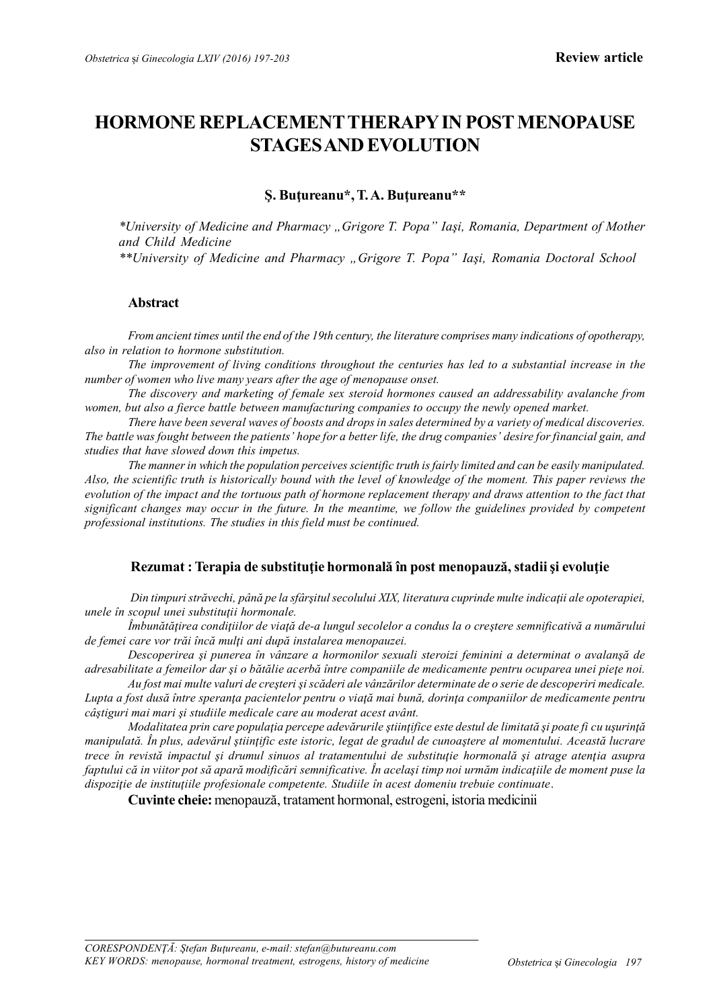# **HORMONE REPLACEMENTTHERAPY IN POST MENOPAUSE STAGES AND EVOLUTION**

# **Ş. Buţureanu\*, T. A. Buţureanu\*\***

*\*University of Medicine and Pharmacy "Grigore T. Popa" Iaşi, Romania, Department of Mother and Child Medicine*

*\*\*University of Medicine and Pharmacy "Grigore T. Popa" Iaşi, Romania Doctoral School*

## **Abstract**

*From ancient times until the end of the 19th century, the literature comprises many indications of opotherapy, also in relation to hormone substitution.*

*The improvement of living conditions throughout the centuries has led to a substantial increase in the number of women who live many years after the age of menopause onset.*

*The discovery and marketing of female sex steroid hormones caused an addressability avalanche from women, but also a fierce battle between manufacturing companies to occupy the newly opened market.*

*There have been several waves of boosts and drops in sales determined by a variety of medical discoveries. The battle was fought between the patients' hope for a better life, the drug companies' desire for financial gain, and studies that have slowed down this impetus.*

*The manner in which the population perceives scientific truth is fairly limited and can be easily manipulated. Also, the scientific truth is historically bound with the level of knowledge of the moment. This paper reviews the evolution of the impact and the tortuous path of hormone replacement therapy and draws attention to the fact that significant changes may occur in the future. In the meantime, we follow the guidelines provided by competent professional institutions. The studies in this field must be continued.*

# **Rezumat : Terapia de substituţie hormonală în post menopauză, stadii şi evoluţie**

*Din timpuri străvechi, până pe la sfârşitul secolului XIX, literatura cuprinde multe indicaţii ale opoterapiei, unele în scopul unei substituţii hormonale.*

*Îmbunătăţirea condiţiilor de viaţă de-a lungul secolelor a condus la o creştere semnificativă a numărului de femei care vor trăi încă mulţi ani după instalarea menopauzei.*

*Descoperirea şi punerea în vânzare a hormonilor sexuali steroizi feminini a determinat o avalanşă de adresabilitate a femeilor dar şi o bătălie acerbă între companiile de medicamente pentru ocuparea unei pieţe noi.*

*Au fost mai multe valuri de creşteri şi scăderi ale vânzărilor determinate de o serie de descoperiri medicale. Lupta a fost dusă între speranţa pacientelor pentru o viaţă mai bună, dorinţa companiilor de medicamente pentru câştiguri mai mari şi studiile medicale care au moderat acest avânt.*

*Modalitatea prin care populaţia percepe adevărurile ştiinţifice este destul de limitată şi poate fi cu uşurinţă manipulată. În plus, adevărul ştiinţific este istoric, legat de gradul de cunoaştere al momentului. Această lucrare trece în revistă impactul şi drumul sinuos al tratamentului de substituţie hormonală şi atrage atenţia asupra faptului că in viitor pot să apară modificări semnificative. În acelaşi timp noi urmăm indicaţiile de moment puse la dispoziţie de instituţiile profesionale competente. Studiile în acest domeniu trebuie continuate*.

**Cuvinte cheie:** menopauză, tratament hormonal, estrogeni, istoria medicinii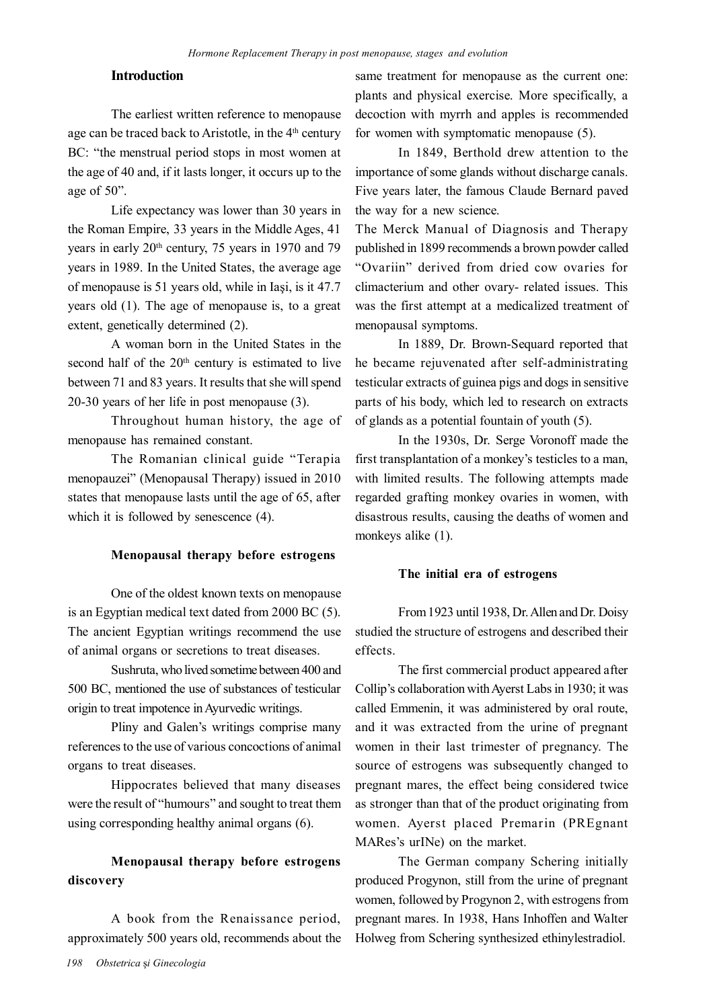# **Introduction**

The earliest written reference to menopause age can be traced back to Aristotle, in the 4<sup>th</sup> century BC: "the menstrual period stops in most women at the age of 40 and, if it lasts longer, it occurs up to the age of 50".

Life expectancy was lower than 30 years in the Roman Empire, 33 years in the Middle Ages, 41 years in early 20<sup>th</sup> century, 75 years in 1970 and 79 years in 1989. In the United States, the average age of menopause is 51 years old, while in Iaşi, is it 47.7 years old (1). The age of menopause is, to a great extent, genetically determined (2).

A woman born in the United States in the second half of the  $20<sup>th</sup>$  century is estimated to live between 71 and 83 years. It results that she will spend 20-30 years of her life in post menopause (3).

Throughout human history, the age of menopause has remained constant.

The Romanian clinical guide "Terapia menopauzei" (Menopausal Therapy) issued in 2010 states that menopause lasts until the age of 65, after which it is followed by senescence  $(4)$ .

#### **Menopausal therapy before estrogens**

One of the oldest known texts on menopause is an Egyptian medical text dated from 2000 BC (5). The ancient Egyptian writings recommend the use of animal organs or secretions to treat diseases.

Sushruta, who lived sometime between 400 and 500 BC, mentioned the use of substances of testicular origin to treat impotence in Ayurvedic writings.

Pliny and Galen's writings comprise many references to the use of various concoctions of animal organs to treat diseases.

Hippocrates believed that many diseases were the result of "humours" and sought to treat them using corresponding healthy animal organs (6).

# **Menopausal therapy before estrogens discovery**

A book from the Renaissance period, approximately 500 years old, recommends about the same treatment for menopause as the current one: plants and physical exercise. More specifically, a decoction with myrrh and apples is recommended for women with symptomatic menopause (5).

In 1849, Berthold drew attention to the importance of some glands without discharge canals. Five years later, the famous Claude Bernard paved the way for a new science.

The Merck Manual of Diagnosis and Therapy published in 1899 recommends a brown powder called "Ovariin" derived from dried cow ovaries for climacterium and other ovary- related issues. This was the first attempt at a medicalized treatment of menopausal symptoms.

In 1889, Dr. Brown-Sequard reported that he became rejuvenated after self-administrating testicular extracts of guinea pigs and dogs in sensitive parts of his body, which led to research on extracts of glands as a potential fountain of youth (5).

In the 1930s, Dr. Serge Voronoff made the first transplantation of a monkey's testicles to a man, with limited results. The following attempts made regarded grafting monkey ovaries in women, with disastrous results, causing the deaths of women and monkeys alike (1).

#### **The initial era of estrogens**

From 1923 until 1938, Dr. Allen and Dr. Doisy studied the structure of estrogens and described their effects.

The first commercial product appeared after Collip's collaboration with Ayerst Labs in 1930; it was called Emmenin, it was administered by oral route, and it was extracted from the urine of pregnant women in their last trimester of pregnancy. The source of estrogens was subsequently changed to pregnant mares, the effect being considered twice as stronger than that of the product originating from women. Ayerst placed Premarin (PREgnant MARes's urINe) on the market.

The German company Schering initially produced Progynon, still from the urine of pregnant women, followed by Progynon 2, with estrogens from pregnant mares. In 1938, Hans Inhoffen and Walter Holweg from Schering synthesized ethinylestradiol.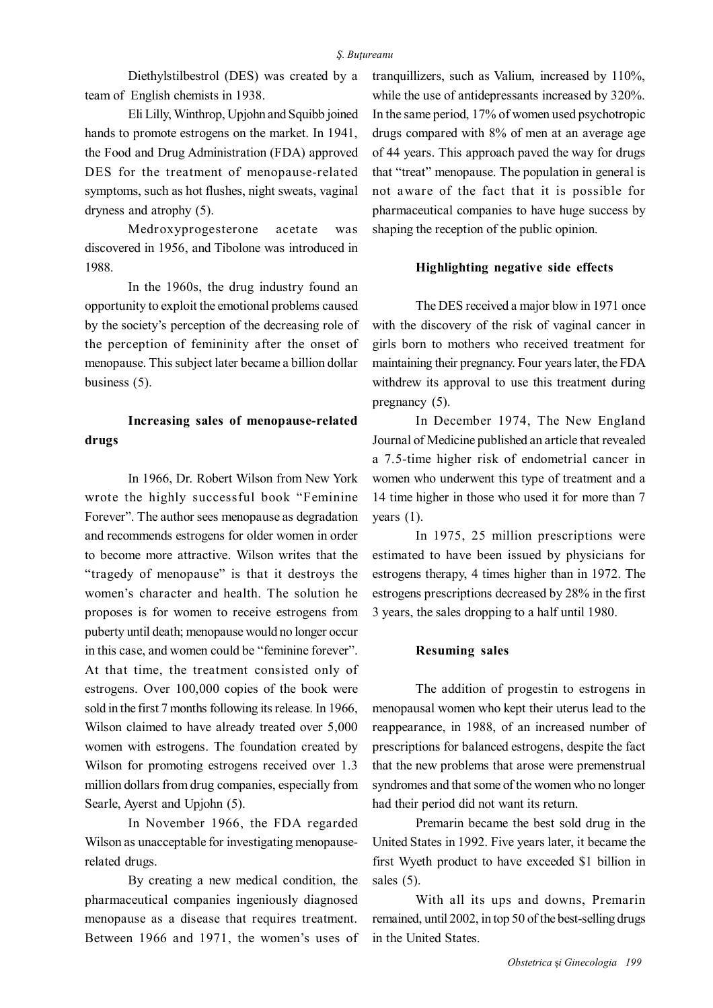Diethylstilbestrol (DES) was created by a team of English chemists in 1938.

Eli Lilly, Winthrop, Upjohn and Squibb joined hands to promote estrogens on the market. In 1941, the Food and Drug Administration (FDA) approved DES for the treatment of menopause-related symptoms, such as hot flushes, night sweats, vaginal dryness and atrophy (5).

Medroxyprogesterone acetate was discovered in 1956, and Tibolone was introduced in 1988.

In the 1960s, the drug industry found an opportunity to exploit the emotional problems caused by the society's perception of the decreasing role of the perception of femininity after the onset of menopause. This subject later became a billion dollar business (5).

# **Increasing sales of menopause-related drugs**

In 1966, Dr. Robert Wilson from New York wrote the highly successful book "Feminine Forever". The author sees menopause as degradation and recommends estrogens for older women in order to become more attractive. Wilson writes that the "tragedy of menopause" is that it destroys the women's character and health. The solution he proposes is for women to receive estrogens from puberty until death; menopause would no longer occur in this case, and women could be "feminine forever". At that time, the treatment consisted only of estrogens. Over 100,000 copies of the book were sold in the first 7 months following its release. In 1966, Wilson claimed to have already treated over 5,000 women with estrogens. The foundation created by Wilson for promoting estrogens received over 1.3 million dollars from drug companies, especially from Searle, Ayerst and Upjohn (5).

In November 1966, the FDA regarded Wilson as unacceptable for investigating menopauserelated drugs.

By creating a new medical condition, the pharmaceutical companies ingeniously diagnosed menopause as a disease that requires treatment. Between 1966 and 1971, the women's uses of tranquillizers, such as Valium, increased by 110%, while the use of antidepressants increased by 320%. In the same period, 17% of women used psychotropic drugs compared with 8% of men at an average age of 44 years. This approach paved the way for drugs that "treat" menopause. The population in general is not aware of the fact that it is possible for pharmaceutical companies to have huge success by shaping the reception of the public opinion.

#### **Highlighting negative side effects**

The DES received a major blow in 1971 once with the discovery of the risk of vaginal cancer in girls born to mothers who received treatment for maintaining their pregnancy. Four years later, the FDA withdrew its approval to use this treatment during pregnancy (5).

In December 1974, The New England Journal of Medicine published an article that revealed a 7.5-time higher risk of endometrial cancer in women who underwent this type of treatment and a 14 time higher in those who used it for more than 7 years (1).

In 1975, 25 million prescriptions were estimated to have been issued by physicians for estrogens therapy, 4 times higher than in 1972. The estrogens prescriptions decreased by 28% in the first 3 years, the sales dropping to a half until 1980.

#### **Resuming sales**

The addition of progestin to estrogens in menopausal women who kept their uterus lead to the reappearance, in 1988, of an increased number of prescriptions for balanced estrogens, despite the fact that the new problems that arose were premenstrual syndromes and that some of the women who no longer had their period did not want its return.

Premarin became the best sold drug in the United States in 1992. Five years later, it became the first Wyeth product to have exceeded \$1 billion in sales (5).

With all its ups and downs, Premarin remained, until 2002, in top 50 of the best-selling drugs in the United States.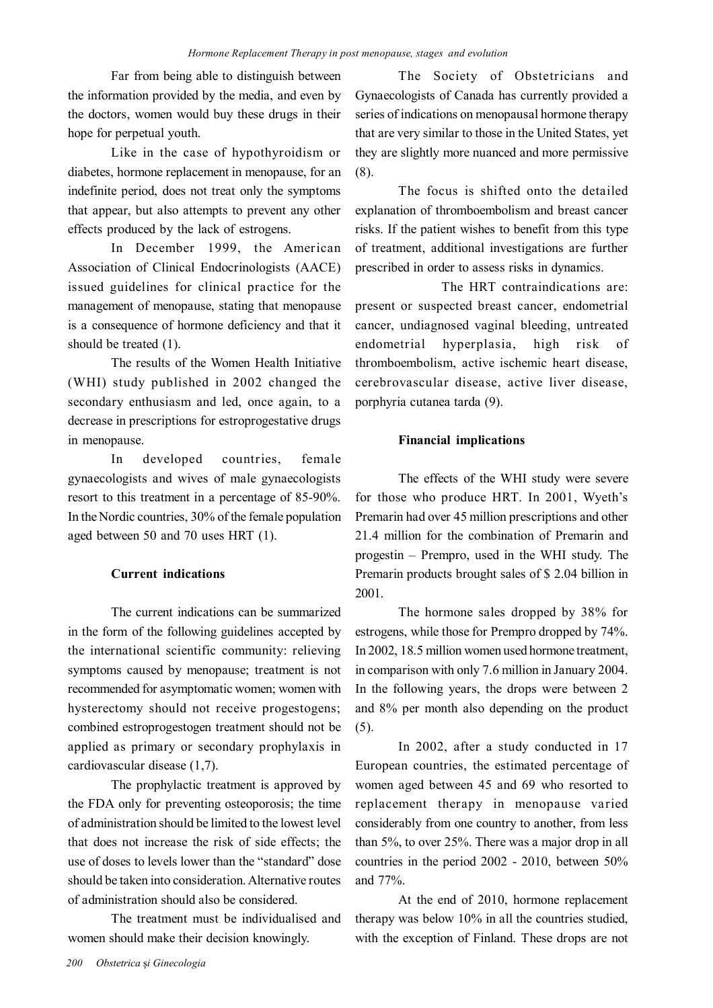Far from being able to distinguish between the information provided by the media, and even by the doctors, women would buy these drugs in their hope for perpetual youth.

Like in the case of hypothyroidism or diabetes, hormone replacement in menopause, for an indefinite period, does not treat only the symptoms that appear, but also attempts to prevent any other effects produced by the lack of estrogens.

In December 1999, the American Association of Clinical Endocrinologists (AACE) issued guidelines for clinical practice for the management of menopause, stating that menopause is a consequence of hormone deficiency and that it should be treated (1).

The results of the Women Health Initiative (WHI) study published in 2002 changed the secondary enthusiasm and led, once again, to a decrease in prescriptions for estroprogestative drugs in menopause.

In developed countries, female gynaecologists and wives of male gynaecologists resort to this treatment in a percentage of 85-90%. In the Nordic countries, 30% of the female population aged between 50 and 70 uses HRT (1).

## **Current indications**

The current indications can be summarized in the form of the following guidelines accepted by the international scientific community: relieving symptoms caused by menopause; treatment is not recommended for asymptomatic women; women with hysterectomy should not receive progestogens; combined estroprogestogen treatment should not be applied as primary or secondary prophylaxis in cardiovascular disease (1,7).

The prophylactic treatment is approved by the FDA only for preventing osteoporosis; the time of administration should be limited to the lowest level that does not increase the risk of side effects; the use of doses to levels lower than the "standard" dose should be taken into consideration. Alternative routes of administration should also be considered.

The treatment must be individualised and women should make their decision knowingly.

The Society of Obstetricians and Gynaecologists of Canada has currently provided a series of indications on menopausal hormone therapy that are very similar to those in the United States, yet they are slightly more nuanced and more permissive (8).

The focus is shifted onto the detailed explanation of thromboembolism and breast cancer risks. If the patient wishes to benefit from this type of treatment, additional investigations are further prescribed in order to assess risks in dynamics.

The HRT contraindications are: present or suspected breast cancer, endometrial cancer, undiagnosed vaginal bleeding, untreated endometrial hyperplasia, high risk of thromboembolism, active ischemic heart disease, cerebrovascular disease, active liver disease, porphyria cutanea tarda (9).

#### **Financial implications**

The effects of the WHI study were severe for those who produce HRT. In 2001, Wyeth's Premarin had over 45 million prescriptions and other 21.4 million for the combination of Premarin and progestin – Prempro, used in the WHI study. The Premarin products brought sales of \$ 2.04 billion in 2001.

The hormone sales dropped by 38% for estrogens, while those for Prempro dropped by 74%. In 2002, 18.5 million women used hormone treatment, in comparison with only 7.6 million in January 2004. In the following years, the drops were between 2 and 8% per month also depending on the product (5).

In 2002, after a study conducted in 17 European countries, the estimated percentage of women aged between 45 and 69 who resorted to replacement therapy in menopause varied considerably from one country to another, from less than 5%, to over 25%. There was a major drop in all countries in the period 2002 - 2010, between 50% and 77%.

At the end of 2010, hormone replacement therapy was below 10% in all the countries studied, with the exception of Finland. These drops are not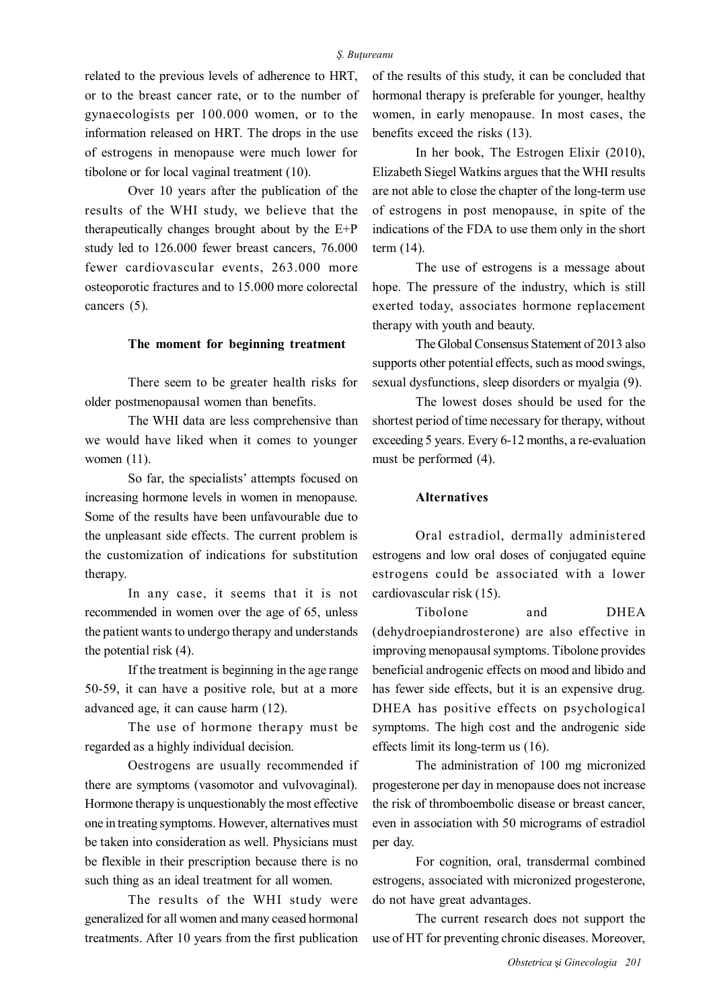related to the previous levels of adherence to HRT, or to the breast cancer rate, or to the number of gynaecologists per 100.000 women, or to the information released on HRT. The drops in the use of estrogens in menopause were much lower for tibolone or for local vaginal treatment (10).

Over 10 years after the publication of the results of the WHI study, we believe that the therapeutically changes brought about by the E+P study led to 126.000 fewer breast cancers, 76.000 fewer cardiovascular events, 263.000 more osteoporotic fractures and to 15.000 more colorectal cancers (5).

#### **The moment for beginning treatment**

There seem to be greater health risks for older postmenopausal women than benefits.

The WHI data are less comprehensive than we would have liked when it comes to younger women (11).

So far, the specialists' attempts focused on increasing hormone levels in women in menopause. Some of the results have been unfavourable due to the unpleasant side effects. The current problem is the customization of indications for substitution therapy.

In any case, it seems that it is not recommended in women over the age of 65, unless the patient wants to undergo therapy and understands the potential risk (4).

If the treatment is beginning in the age range 50-59, it can have a positive role, but at a more advanced age, it can cause harm (12).

The use of hormone therapy must be regarded as a highly individual decision.

Oestrogens are usually recommended if there are symptoms (vasomotor and vulvovaginal). Hormone therapy is unquestionably the most effective one in treating symptoms. However, alternatives must be taken into consideration as well. Physicians must be flexible in their prescription because there is no such thing as an ideal treatment for all women.

The results of the WHI study were generalized for all women and many ceased hormonal treatments. After 10 years from the first publication

of the results of this study, it can be concluded that hormonal therapy is preferable for younger, healthy women, in early menopause. In most cases, the benefits exceed the risks (13).

In her book, The Estrogen Elixir (2010), Elizabeth Siegel Watkins argues that the WHI results are not able to close the chapter of the long-term use of estrogens in post menopause, in spite of the indications of the FDA to use them only in the short term (14).

The use of estrogens is a message about hope. The pressure of the industry, which is still exerted today, associates hormone replacement therapy with youth and beauty.

The Global Consensus Statement of 2013 also supports other potential effects, such as mood swings, sexual dysfunctions, sleep disorders or myalgia (9).

The lowest doses should be used for the shortest period of time necessary for therapy, without exceeding 5 years. Every 6-12 months, a re-evaluation must be performed (4).

#### **Alternatives**

Oral estradiol, dermally administered estrogens and low oral doses of conjugated equine estrogens could be associated with a lower cardiovascular risk (15).

Tibolone and DHEA (dehydroepiandrosterone) are also effective in improving menopausal symptoms. Tibolone provides beneficial androgenic effects on mood and libido and has fewer side effects, but it is an expensive drug. DHEA has positive effects on psychological symptoms. The high cost and the androgenic side effects limit its long-term us (16).

The administration of 100 mg micronized progesterone per day in menopause does not increase the risk of thromboembolic disease or breast cancer, even in association with 50 micrograms of estradiol per day.

For cognition, oral, transdermal combined estrogens, associated with micronized progesterone, do not have great advantages.

The current research does not support the use of HT for preventing chronic diseases. Moreover,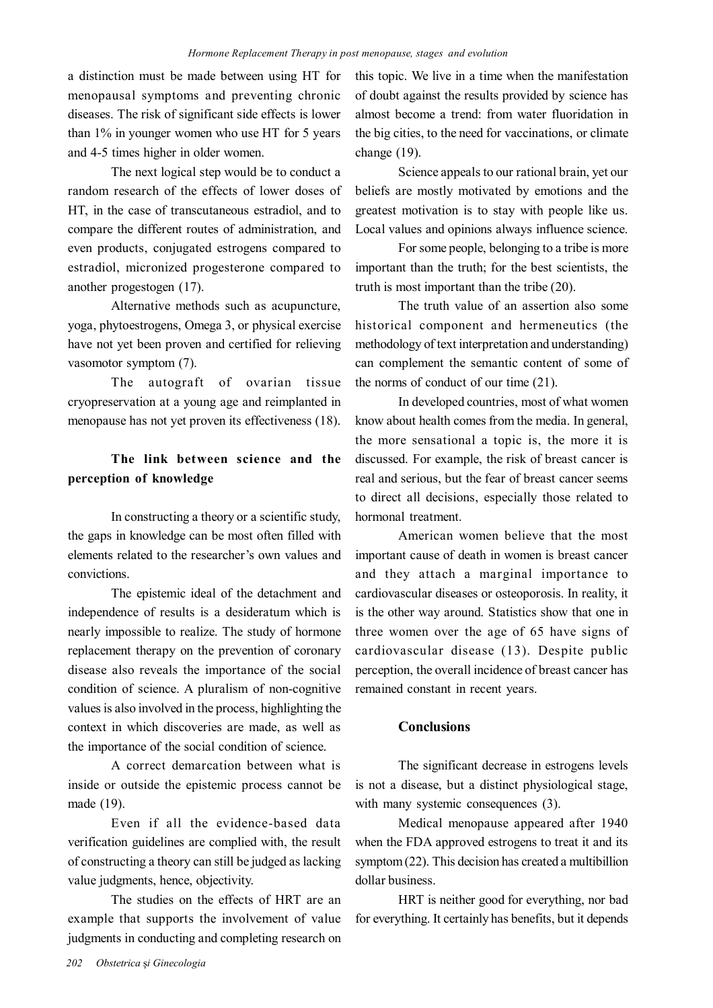a distinction must be made between using HT for menopausal symptoms and preventing chronic diseases. The risk of significant side effects is lower than 1% in younger women who use HT for 5 years and 4-5 times higher in older women.

The next logical step would be to conduct a random research of the effects of lower doses of HT, in the case of transcutaneous estradiol, and to compare the different routes of administration, and even products, conjugated estrogens compared to estradiol, micronized progesterone compared to another progestogen (17).

Alternative methods such as acupuncture, yoga, phytoestrogens, Omega 3, or physical exercise have not yet been proven and certified for relieving vasomotor symptom (7).

The autograft of ovarian tissue cryopreservation at a young age and reimplanted in menopause has not yet proven its effectiveness (18).

# **The link between science and the perception of knowledge**

In constructing a theory or a scientific study, the gaps in knowledge can be most often filled with elements related to the researcher's own values and convictions.

The epistemic ideal of the detachment and independence of results is a desideratum which is nearly impossible to realize. The study of hormone replacement therapy on the prevention of coronary disease also reveals the importance of the social condition of science. A pluralism of non-cognitive values is also involved in the process, highlighting the context in which discoveries are made, as well as the importance of the social condition of science.

A correct demarcation between what is inside or outside the epistemic process cannot be made (19).

Even if all the evidence-based data verification guidelines are complied with, the result of constructing a theory can still be judged as lacking value judgments, hence, objectivity.

The studies on the effects of HRT are an example that supports the involvement of value judgments in conducting and completing research on

this topic. We live in a time when the manifestation of doubt against the results provided by science has almost become a trend: from water fluoridation in the big cities, to the need for vaccinations, or climate change (19).

Science appeals to our rational brain, yet our beliefs are mostly motivated by emotions and the greatest motivation is to stay with people like us. Local values and opinions always influence science.

For some people, belonging to a tribe is more important than the truth; for the best scientists, the truth is most important than the tribe (20).

The truth value of an assertion also some historical component and hermeneutics (the methodology of text interpretation and understanding) can complement the semantic content of some of the norms of conduct of our time (21).

In developed countries, most of what women know about health comes from the media. In general, the more sensational a topic is, the more it is discussed. For example, the risk of breast cancer is real and serious, but the fear of breast cancer seems to direct all decisions, especially those related to hormonal treatment.

American women believe that the most important cause of death in women is breast cancer and they attach a marginal importance to cardiovascular diseases or osteoporosis. In reality, it is the other way around. Statistics show that one in three women over the age of 65 have signs of cardiovascular disease (13). Despite public perception, the overall incidence of breast cancer has remained constant in recent years.

## **Conclusions**

The significant decrease in estrogens levels is not a disease, but a distinct physiological stage, with many systemic consequences (3).

Medical menopause appeared after 1940 when the FDA approved estrogens to treat it and its symptom (22). This decision has created a multibillion dollar business.

HRT is neither good for everything, nor bad for everything. It certainly has benefits, but it depends